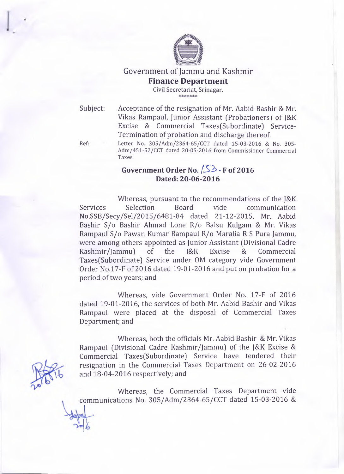

## Government of Jammu and Kashmir **Finance Department**

Civil Secretariat, Srinagar.

Subject: Acceptance of the resignation of Mr. Aabid Bashir & Mr. Vikas Rampaul, Junior Assistant (Probationers) of J&K Excise & Commercial Taxes(Subordinate) Service-Termination of probation and discharge thereof.

Ref: Letter No. 305/Adm/2364-65/CCT dated 15-03-2016 & No. 305-Adm/451-52/CCT dated 20-05-2016 from Commissioner Commercial **Taxes.**

## **Government Order No.** *[ S 2 ? -* **F of 2016 Dated: 20-06-2016**

Whereas, pursuant to the recommendations of the J&K Services Selection Board vide communication No.SSB/Secy/Sel/2015/6481-84 dated 21-12-2015, Mr. Aabid Bashir S/o Bashir Ahmad Lone R/o Balsu Kulgam & Mr. Vikas Rampaul S/o Pawan Kumar Rampaul R/o Maralia R S Pura Jammu, were among others appointed as Junior Assistant (Divisional Cadre Kashmir/Jammu) of the J&K Excise & Commercial Taxes(Subordinate) Service under OM category vide Government Order No.l7-F of 2016 dated 19-01-2016 and put on probation for a period of two years; and

Whereas, vide Government Order No. 17-F of 2016 dated 19-01-2016, the services of both Mr. Aabid Bashir and Vikas Rampaul were placed at the disposal of Commercial Taxes Department; and

Whereas, both the officials Mr. Aabid Bashir & Mr. Vikas Rampaul (Divisional Cadre Kashmir/Jammu) of the J&K Excise & Commercial Taxes(Subordinate) Service have tendered their resignation in the Commercial Taxes Department on 26-02-2016 and 18-04-2016 respectively; and

Whereas, the Commercial Taxes Department vide communications No. 305/Adm/2364-65/CCT dated 15-03-2016 &